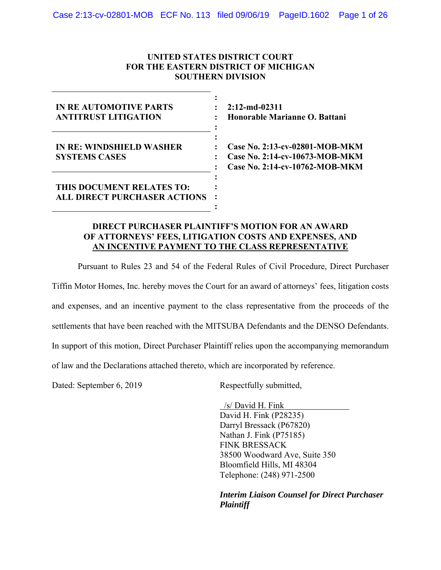## **UNITED STATES DISTRICT COURT FOR THE EASTERN DISTRICT OF MICHIGAN SOUTHERN DIVISION**

| <b>IN REAUTOMOTIVE PARTS</b><br><b>ANTITRUST LITIGATION</b>      | $2:12$ -md-02311<br>Honorable Marianne O. Battani                                                  |
|------------------------------------------------------------------|----------------------------------------------------------------------------------------------------|
| <b>IN RE: WINDSHIELD WASHER</b><br><b>SYSTEMS CASES</b>          | Case No. 2:13-cv-02801-MOB-MKM<br>Case No. 2:14-cv-10673-MOB-MKM<br>Case No. 2:14-cv-10762-MOB-MKM |
| THIS DOCUMENT RELATES TO:<br><b>ALL DIRECT PURCHASER ACTIONS</b> |                                                                                                    |

## **DIRECT PURCHASER PLAINTIFF'S MOTION FOR AN AWARD OF ATTORNEYS' FEES, LITIGATION COSTS AND EXPENSES, AND AN INCENTIVE PAYMENT TO THE CLASS REPRESENTATIVE**

Pursuant to Rules 23 and 54 of the Federal Rules of Civil Procedure, Direct Purchaser

Tiffin Motor Homes, Inc. hereby moves the Court for an award of attorneys' fees, litigation costs

and expenses, and an incentive payment to the class representative from the proceeds of the

settlements that have been reached with the MITSUBA Defendants and the DENSO Defendants.

In support of this motion, Direct Purchaser Plaintiff relies upon the accompanying memorandum

of law and the Declarations attached thereto, which are incorporated by reference.

Dated: September 6, 2019 Respectfully submitted,

 /s/ David H. Fink David H. Fink (P28235) Darryl Bressack (P67820) Nathan J. Fink (P75185) FINK BRESSACK 38500 Woodward Ave, Suite 350 Bloomfield Hills, MI 48304 Telephone: (248) 971-2500

*Interim Liaison Counsel for Direct Purchaser Plaintiff*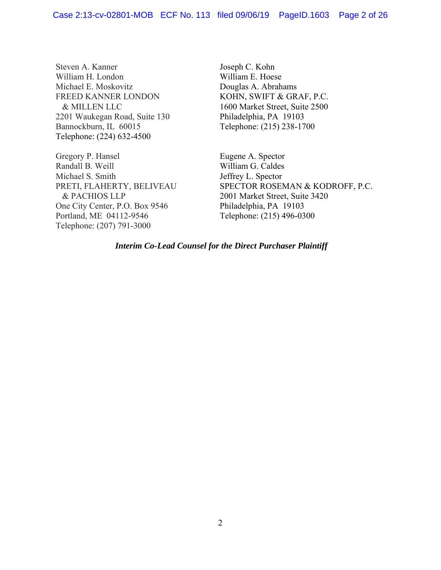Steven A. Kanner William H. London Michael E. Moskovitz FREED KANNER LONDON & MILLEN LLC 2201 Waukegan Road, Suite 130 Bannockburn, IL 60015 Telephone: (224) 632-4500

Gregory P. Hansel Randall B. Weill Michael S. Smith PRETI, FLAHERTY, BELIVEAU & PACHIOS LLP One City Center, P.O. Box 9546 Portland, ME 04112-9546 Telephone: (207) 791-3000

Joseph C. Kohn William E. Hoese Douglas A. Abrahams KOHN, SWIFT & GRAF, P.C. 1600 Market Street, Suite 2500 Philadelphia, PA 19103 Telephone: (215) 238-1700

Eugene A. Spector William G. Caldes Jeffrey L. Spector SPECTOR ROSEMAN & KODROFF, P.C. 2001 Market Street, Suite 3420 Philadelphia, PA 19103 Telephone: (215) 496-0300

*Interim Co-Lead Counsel for the Direct Purchaser Plaintiff*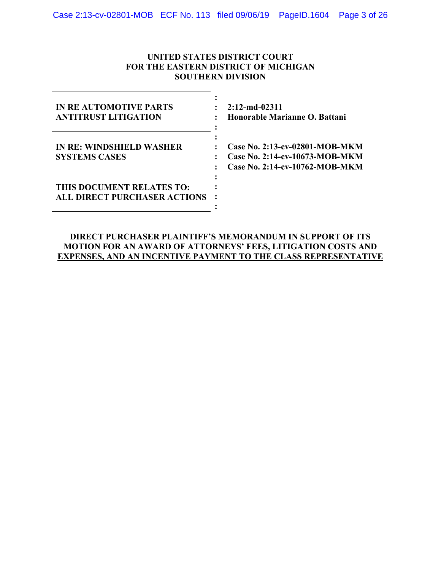## **UNITED STATES DISTRICT COURT FOR THE EASTERN DISTRICT OF MICHIGAN SOUTHERN DIVISION**

| IN REAUTOMOTIVE PARTS<br><b>ANTITRUST LITIGATION</b>             | $2:12$ -md-02311<br>Honorable Marianne O. Battani                                                  |
|------------------------------------------------------------------|----------------------------------------------------------------------------------------------------|
| <b>IN RE: WINDSHIELD WASHER</b><br><b>SYSTEMS CASES</b>          | Case No. 2:13-cv-02801-MOB-MKM<br>Case No. 2:14-cv-10673-MOB-MKM<br>Case No. 2:14-cv-10762-MOB-MKM |
| THIS DOCUMENT RELATES TO:<br><b>ALL DIRECT PURCHASER ACTIONS</b> |                                                                                                    |

## **DIRECT PURCHASER PLAINTIFF'S MEMORANDUM IN SUPPORT OF ITS MOTION FOR AN AWARD OF ATTORNEYS' FEES, LITIGATION COSTS AND EXPENSES, AND AN INCENTIVE PAYMENT TO THE CLASS REPRESENTATIVE**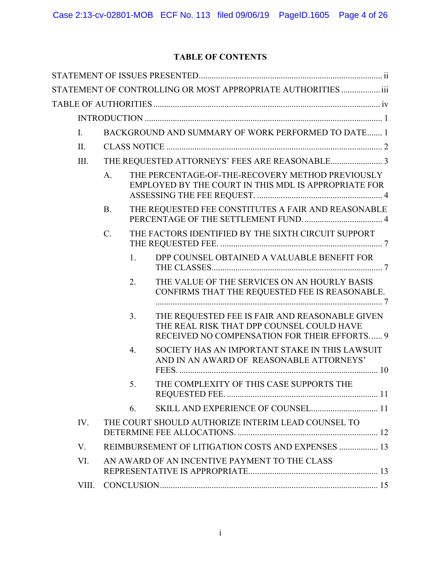# **TABLE OF CONTENTS**

|                |                 |    | STATEMENT OF CONTROLLING OR MOST APPROPRIATE AUTHORITIES  iii                                                                               |
|----------------|-----------------|----|---------------------------------------------------------------------------------------------------------------------------------------------|
|                |                 |    |                                                                                                                                             |
|                |                 |    |                                                                                                                                             |
| $\mathbf{I}$ . |                 |    | BACKGROUND AND SUMMARY OF WORK PERFORMED TO DATE 1                                                                                          |
| II.            |                 |    |                                                                                                                                             |
| III.           |                 |    |                                                                                                                                             |
|                | A.              |    | THE PERCENTAGE-OF-THE-RECOVERY METHOD PREVIOUSLY<br>EMPLOYED BY THE COURT IN THIS MDL IS APPROPRIATE FOR                                    |
|                | <b>B.</b>       |    | THE REQUESTED FEE CONSTITUTES A FAIR AND REASONABLE                                                                                         |
|                | $\mathcal{C}$ . |    | THE FACTORS IDENTIFIED BY THE SIXTH CIRCUIT SUPPORT                                                                                         |
|                |                 | 1. | DPP COUNSEL OBTAINED A VALUABLE BENEFIT FOR                                                                                                 |
|                |                 | 2. | THE VALUE OF THE SERVICES ON AN HOURLY BASIS<br>CONFIRMS THAT THE REQUESTED FEE IS REASONABLE.                                              |
|                |                 | 3. | THE REQUESTED FEE IS FAIR AND REASONABLE GIVEN<br>THE REAL RISK THAT DPP COUNSEL COULD HAVE<br>RECEIVED NO COMPENSATION FOR THEIR EFFORTS 9 |
|                |                 | 4. | SOCIETY HAS AN IMPORTANT STAKE IN THIS LAWSUIT<br>AND IN AN AWARD OF REASONABLE ATTORNEYS'                                                  |
|                |                 | 5. | THE COMPLEXITY OF THIS CASE SUPPORTS THE                                                                                                    |
|                |                 | 6. | SKILL AND EXPERIENCE OF COUNSEL 11                                                                                                          |
| IV.            |                 |    | THE COURT SHOULD AUTHORIZE INTERIM LEAD COUNSEL TO                                                                                          |
| V.             |                 |    | REIMBURSEMENT OF LITIGATION COSTS AND EXPENSES  13                                                                                          |
| VI.            |                 |    | AN AWARD OF AN INCENTIVE PAYMENT TO THE CLASS                                                                                               |
| VIII.          |                 |    |                                                                                                                                             |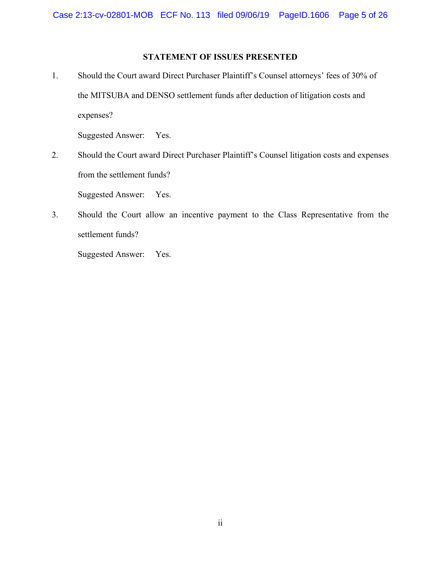## **STATEMENT OF ISSUES PRESENTED**

1. Should the Court award Direct Purchaser Plaintiff's Counsel attorneys' fees of 30% of the MITSUBA and DENSO settlement funds after deduction of litigation costs and expenses?

Suggested Answer: Yes.

2. Should the Court award Direct Purchaser Plaintiff's Counsel litigation costs and expenses from the settlement funds?

Suggested Answer: Yes.

3. Should the Court allow an incentive payment to the Class Representative from the settlement funds?

Suggested Answer: Yes.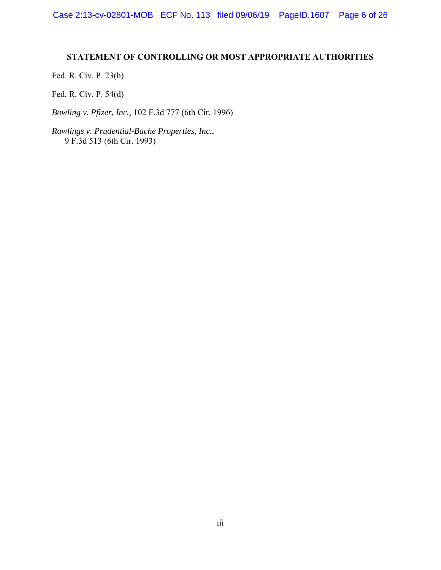## **STATEMENT OF CONTROLLING OR MOST APPROPRIATE AUTHORITIES**

Fed. R. Civ. P. 23(h)

Fed. R. Civ. P. 54(d)

*Bowling v. Pfizer, Inc.*, 102 F.3d 777 (6th Cir. 1996)

*Rawlings v. Prudential-Bache Properties, Inc.*, 9 F.3d 513 (6th Cir. 1993)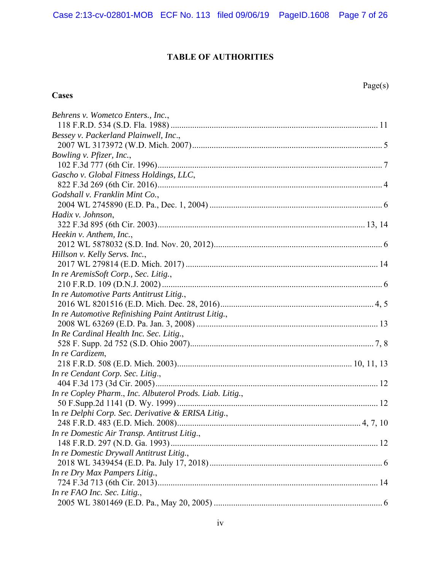# **TABLE OF AUTHORITIES**

# **Cases**

| Behrens v. Wometco Enters., Inc.,                        |
|----------------------------------------------------------|
|                                                          |
| Bessey v. Packerland Plainwell, Inc.,                    |
|                                                          |
| Bowling v. Pfizer, Inc.,                                 |
|                                                          |
| Gascho v. Global Fitness Holdings, LLC,                  |
|                                                          |
| Godshall v. Franklin Mint Co.,                           |
|                                                          |
| Hadix v. Johnson,                                        |
|                                                          |
| Heekin v. Anthem, Inc.,                                  |
|                                                          |
| Hillson v. Kelly Servs. Inc.,                            |
|                                                          |
| In re AremisSoft Corp., Sec. Litig.,                     |
|                                                          |
| In re Automotive Parts Antitrust Litig.,                 |
|                                                          |
| In re Automotive Refinishing Paint Antitrust Litig.,     |
|                                                          |
| In Re Cardinal Health Inc. Sec. Litig.,                  |
|                                                          |
| In re Cardizem,                                          |
|                                                          |
| In re Cendant Corp. Sec. Litig.,                         |
|                                                          |
| In re Copley Pharm., Inc. Albuterol Prods. Liab. Litig., |
|                                                          |
| In re Delphi Corp. Sec. Derivative & ERISA Litig.,       |
|                                                          |
| In re Domestic Air Transp. Antitrust Litig.,             |
|                                                          |
| In re Domestic Drywall Antitrust Litig.,                 |
|                                                          |
| In re Dry Max Pampers Litig.,                            |
|                                                          |
| In re FAO Inc. Sec. Litig.,                              |
|                                                          |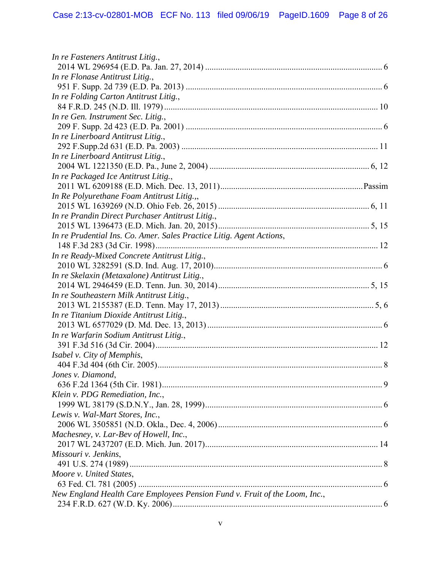| In re Fasteners Antitrust Litig.,                                          |  |
|----------------------------------------------------------------------------|--|
| In re Flonase Antitrust Litig.,                                            |  |
|                                                                            |  |
| In re Folding Carton Antitrust Litig.,                                     |  |
|                                                                            |  |
| In re Gen. Instrument Sec. Litig.,                                         |  |
|                                                                            |  |
| In re Linerboard Antitrust Litig.,                                         |  |
|                                                                            |  |
| In re Linerboard Antitrust Litig.,                                         |  |
|                                                                            |  |
| In re Packaged Ice Antitrust Litig.,                                       |  |
|                                                                            |  |
| In Re Polyurethane Foam Antitrust Litig.,,                                 |  |
|                                                                            |  |
| In re Prandin Direct Purchaser Antitrust Litig.,                           |  |
|                                                                            |  |
| In re Prudential Ins. Co. Amer. Sales Practice Litig. Agent Actions,       |  |
|                                                                            |  |
| In re Ready-Mixed Concrete Antitrust Litig.,                               |  |
|                                                                            |  |
| In re Skelaxin (Metaxalone) Antitrust Litig.,                              |  |
|                                                                            |  |
| In re Southeastern Milk Antitrust Litig.,                                  |  |
|                                                                            |  |
| In re Titanium Dioxide Antitrust Litig.,                                   |  |
|                                                                            |  |
| In re Warfarin Sodium Antitrust Litig.,                                    |  |
|                                                                            |  |
| Isabel v. City of Memphis,                                                 |  |
|                                                                            |  |
| Jones v. Diamond,                                                          |  |
|                                                                            |  |
| Klein v. PDG Remediation, Inc.,                                            |  |
|                                                                            |  |
| Lewis v. Wal-Mart Stores, Inc.,                                            |  |
|                                                                            |  |
| Machesney, v. Lar-Bev of Howell, Inc.,                                     |  |
|                                                                            |  |
| Missouri v. Jenkins,                                                       |  |
|                                                                            |  |
| Moore v. United States,                                                    |  |
|                                                                            |  |
| New England Health Care Employees Pension Fund v. Fruit of the Loom, Inc., |  |
|                                                                            |  |
|                                                                            |  |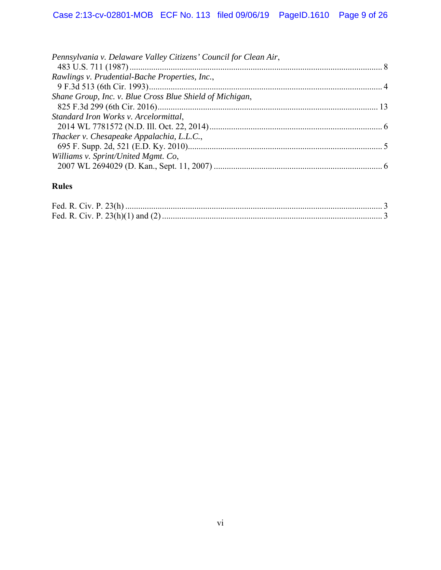| Pennsylvania v. Delaware Valley Citizens' Council for Clean Air, |
|------------------------------------------------------------------|
|                                                                  |
| Rawlings v. Prudential-Bache Properties, Inc.,                   |
|                                                                  |
| Shane Group, Inc. v. Blue Cross Blue Shield of Michigan,         |
|                                                                  |
| Standard Iron Works v. Arcelormittal,                            |
|                                                                  |
| Thacker v. Chesapeake Appalachia, L.L.C.,                        |
|                                                                  |
| Williams v. Sprint/United Mgmt. Co,                              |
|                                                                  |

# **Rules**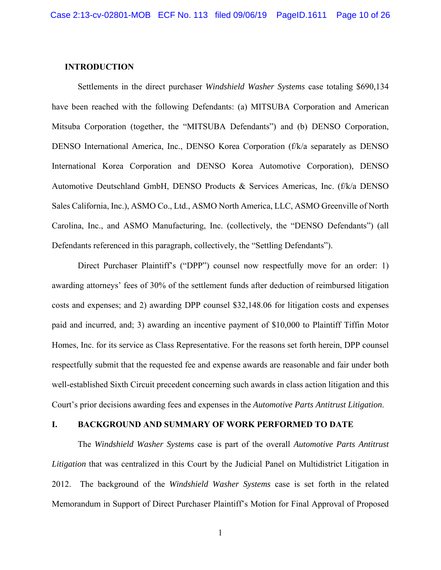#### **INTRODUCTION**

Settlements in the direct purchaser *Windshield Washer Systems* case totaling \$690,134 have been reached with the following Defendants: (a) MITSUBA Corporation and American Mitsuba Corporation (together, the "MITSUBA Defendants") and (b) DENSO Corporation, DENSO International America, Inc., DENSO Korea Corporation (f/k/a separately as DENSO International Korea Corporation and DENSO Korea Automotive Corporation), DENSO Automotive Deutschland GmbH, DENSO Products & Services Americas, Inc. (f/k/a DENSO Sales California, Inc.), ASMO Co., Ltd., ASMO North America, LLC, ASMO Greenville of North Carolina, Inc., and ASMO Manufacturing, Inc. (collectively, the "DENSO Defendants") (all Defendants referenced in this paragraph, collectively, the "Settling Defendants").

Direct Purchaser Plaintiff's ("DPP") counsel now respectfully move for an order: 1) awarding attorneys' fees of 30% of the settlement funds after deduction of reimbursed litigation costs and expenses; and 2) awarding DPP counsel \$32,148.06 for litigation costs and expenses paid and incurred, and; 3) awarding an incentive payment of \$10,000 to Plaintiff Tiffin Motor Homes, Inc. for its service as Class Representative. For the reasons set forth herein, DPP counsel respectfully submit that the requested fee and expense awards are reasonable and fair under both well-established Sixth Circuit precedent concerning such awards in class action litigation and this Court's prior decisions awarding fees and expenses in the *Automotive Parts Antitrust Litigation*.

#### **I. BACKGROUND AND SUMMARY OF WORK PERFORMED TO DATE**

The *Windshield Washer Systems* case is part of the overall *Automotive Parts Antitrust Litigation* that was centralized in this Court by the Judicial Panel on Multidistrict Litigation in 2012. The background of the *Windshield Washer Systems* case is set forth in the related Memorandum in Support of Direct Purchaser Plaintiff's Motion for Final Approval of Proposed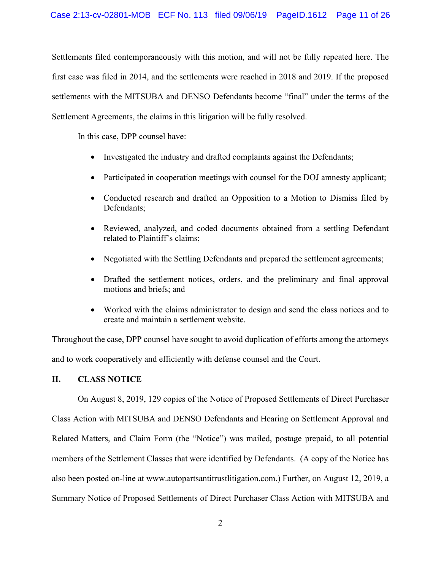Settlements filed contemporaneously with this motion, and will not be fully repeated here. The first case was filed in 2014, and the settlements were reached in 2018 and 2019. If the proposed settlements with the MITSUBA and DENSO Defendants become "final" under the terms of the Settlement Agreements, the claims in this litigation will be fully resolved.

In this case, DPP counsel have:

- Investigated the industry and drafted complaints against the Defendants;
- Participated in cooperation meetings with counsel for the DOJ amnesty applicant;
- Conducted research and drafted an Opposition to a Motion to Dismiss filed by Defendants;
- Reviewed, analyzed, and coded documents obtained from a settling Defendant related to Plaintiff's claims;
- Negotiated with the Settling Defendants and prepared the settlement agreements;
- Drafted the settlement notices, orders, and the preliminary and final approval motions and briefs; and
- Worked with the claims administrator to design and send the class notices and to create and maintain a settlement website.

Throughout the case, DPP counsel have sought to avoid duplication of efforts among the attorneys and to work cooperatively and efficiently with defense counsel and the Court.

## **II. CLASS NOTICE**

On August 8, 2019, 129 copies of the Notice of Proposed Settlements of Direct Purchaser Class Action with MITSUBA and DENSO Defendants and Hearing on Settlement Approval and Related Matters, and Claim Form (the "Notice") was mailed, postage prepaid, to all potential members of the Settlement Classes that were identified by Defendants. (A copy of the Notice has also been posted on-line at www.autopartsantitrustlitigation.com.) Further, on August 12, 2019, a Summary Notice of Proposed Settlements of Direct Purchaser Class Action with MITSUBA and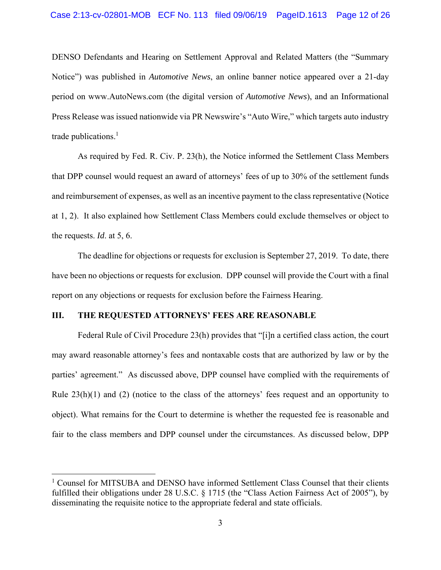DENSO Defendants and Hearing on Settlement Approval and Related Matters (the "Summary Notice") was published in *Automotive News*, an online banner notice appeared over a 21-day period on www.AutoNews.com (the digital version of *Automotive News*), and an Informational Press Release was issued nationwide via PR Newswire's "Auto Wire," which targets auto industry trade publications.<sup>1</sup>

As required by Fed. R. Civ. P. 23(h), the Notice informed the Settlement Class Members that DPP counsel would request an award of attorneys' fees of up to 30% of the settlement funds and reimbursement of expenses, as well as an incentive payment to the class representative (Notice at 1, 2). It also explained how Settlement Class Members could exclude themselves or object to the requests. *Id*. at 5, 6.

The deadline for objections or requests for exclusion is September 27, 2019. To date, there have been no objections or requests for exclusion. DPP counsel will provide the Court with a final report on any objections or requests for exclusion before the Fairness Hearing.

#### **III. THE REQUESTED ATTORNEYS' FEES ARE REASONABLE**

 $\overline{a}$ 

 Federal Rule of Civil Procedure 23(h) provides that "[i]n a certified class action, the court may award reasonable attorney's fees and nontaxable costs that are authorized by law or by the parties' agreement." As discussed above, DPP counsel have complied with the requirements of Rule 23(h)(1) and (2) (notice to the class of the attorneys' fees request and an opportunity to object). What remains for the Court to determine is whether the requested fee is reasonable and fair to the class members and DPP counsel under the circumstances. As discussed below, DPP

<sup>&</sup>lt;sup>1</sup> Counsel for MITSUBA and DENSO have informed Settlement Class Counsel that their clients fulfilled their obligations under 28 U.S.C. § 1715 (the "Class Action Fairness Act of 2005"), by disseminating the requisite notice to the appropriate federal and state officials.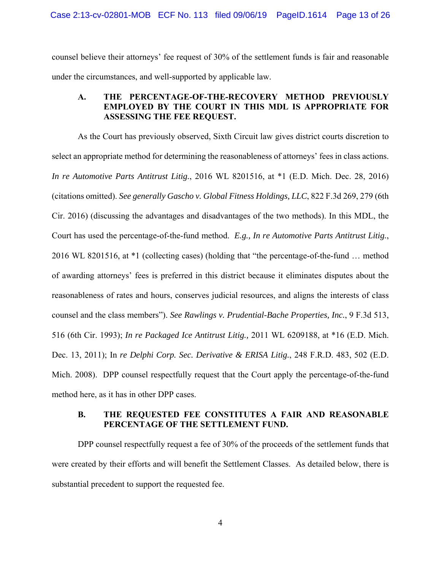counsel believe their attorneys' fee request of 30% of the settlement funds is fair and reasonable under the circumstances, and well-supported by applicable law.

## **A. THE PERCENTAGE-OF-THE-RECOVERY METHOD PREVIOUSLY EMPLOYED BY THE COURT IN THIS MDL IS APPROPRIATE FOR ASSESSING THE FEE REQUEST.**

 As the Court has previously observed, Sixth Circuit law gives district courts discretion to select an appropriate method for determining the reasonableness of attorneys' fees in class actions. *In re Automotive Parts Antitrust Litig.*, 2016 WL 8201516, at \*1 (E.D. Mich. Dec. 28, 2016) (citations omitted). *See generally Gascho v. Global Fitness Holdings, LLC*, 822 F.3d 269, 279 (6th Cir. 2016) (discussing the advantages and disadvantages of the two methods). In this MDL, the Court has used the percentage-of-the-fund method. *E.g., In re Automotive Parts Antitrust Litig.*, 2016 WL 8201516, at \*1 (collecting cases) (holding that "the percentage-of-the-fund … method of awarding attorneys' fees is preferred in this district because it eliminates disputes about the reasonableness of rates and hours, conserves judicial resources, and aligns the interests of class counsel and the class members"). *See Rawlings v. Prudential-Bache Properties, Inc.*, 9 F.3d 513, 516 (6th Cir. 1993); *In re Packaged Ice Antitrust Litig.,* 2011 WL 6209188, at \*16 (E.D. Mich. Dec. 13, 2011); In *re Delphi Corp. Sec. Derivative & ERISA Litig.*, 248 F.R.D. 483, 502 (E.D. Mich. 2008). DPP counsel respectfully request that the Court apply the percentage-of-the-fund method here, as it has in other DPP cases.

## **B. THE REQUESTED FEE CONSTITUTES A FAIR AND REASONABLE PERCENTAGE OF THE SETTLEMENT FUND.**

 DPP counsel respectfully request a fee of 30% of the proceeds of the settlement funds that were created by their efforts and will benefit the Settlement Classes. As detailed below, there is substantial precedent to support the requested fee.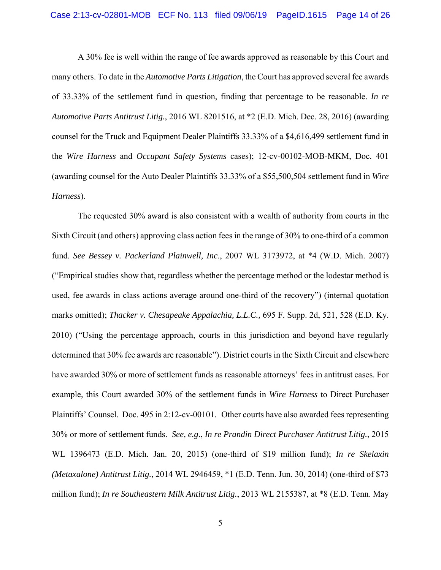A 30% fee is well within the range of fee awards approved as reasonable by this Court and many others. To date in the *Automotive Parts Litigation*, the Court has approved several fee awards of 33.33% of the settlement fund in question, finding that percentage to be reasonable. *In re Automotive Parts Antitrust Litig.*, 2016 WL 8201516, at \*2 (E.D. Mich. Dec. 28, 2016) (awarding counsel for the Truck and Equipment Dealer Plaintiffs 33.33% of a \$4,616,499 settlement fund in the *Wire Harness* and *Occupant Safety Systems* cases); 12-cv-00102-MOB-MKM, Doc. 401 (awarding counsel for the Auto Dealer Plaintiffs 33.33% of a \$55,500,504 settlement fund in *Wire Harness*).

The requested 30% award is also consistent with a wealth of authority from courts in the Sixth Circuit (and others) approving class action fees in the range of 30% to one-third of a common fund. *See Bessey v. Packerland Plainwell, Inc*., 2007 WL 3173972, at \*4 (W.D. Mich. 2007) ("Empirical studies show that, regardless whether the percentage method or the lodestar method is used, fee awards in class actions average around one-third of the recovery") (internal quotation marks omitted); *Thacker v. Chesapeake Appalachia, L.L.C.,* 695 F. Supp. 2d, 521, 528 (E.D. Ky. 2010) ("Using the percentage approach, courts in this jurisdiction and beyond have regularly determined that 30% fee awards are reasonable"). District courts in the Sixth Circuit and elsewhere have awarded 30% or more of settlement funds as reasonable attorneys' fees in antitrust cases. For example, this Court awarded 30% of the settlement funds in *Wire Harness* to Direct Purchaser Plaintiffs' Counsel. Doc. 495 in 2:12-cv-00101. Other courts have also awarded fees representing 30% or more of settlement funds. *See, e.g*., *In re Prandin Direct Purchaser Antitrust Litig.*, 2015 WL 1396473 (E.D. Mich. Jan. 20, 2015) (one-third of \$19 million fund); *In re Skelaxin (Metaxalone) Antitrust Litig.*, 2014 WL 2946459, \*1 (E.D. Tenn. Jun. 30, 2014) (one-third of \$73 million fund); *In re Southeastern Milk Antitrust Litig.*, 2013 WL 2155387, at \*8 (E.D. Tenn. May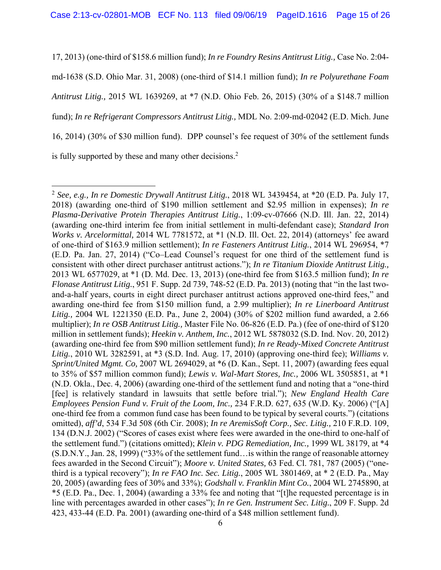17, 2013) (one-third of \$158.6 million fund); *In re Foundry Resins Antitrust Litig.,* Case No. 2:04 md-1638 (S.D. Ohio Mar. 31, 2008) (one-third of \$14.1 million fund); *In re Polyurethane Foam Antitrust Litig.,* 2015 WL 1639269, at \*7 (N.D. Ohio Feb. 26, 2015) (30% of a \$148.7 million fund); *In re Refrigerant Compressors Antitrust Litig.,* MDL No. 2:09-md-02042 (E.D. Mich. June 16, 2014) (30% of \$30 million fund). DPP counsel's fee request of 30% of the settlement funds is fully supported by these and many other decisions.<sup>2</sup>

 $\overline{a}$ 

<sup>2</sup> *See, e.g., In re Domestic Drywall Antitrust Litig.*, 2018 WL 3439454, at \*20 (E.D. Pa. July 17, 2018) (awarding one-third of \$190 million settlement and \$2.95 million in expenses); *In re Plasma-Derivative Protein Therapies Antitrust Litig.*, 1:09-cv-07666 (N.D. Ill. Jan. 22, 2014) (awarding one-third interim fee from initial settlement in multi-defendant case); *Standard Iron Works v. Arcelormittal,* 2014 WL 7781572, at \*1 (N.D. Ill. Oct. 22, 2014) (attorneys' fee award of one-third of \$163.9 million settlement); *In re Fasteners Antitrust Litig.*, 2014 WL 296954, \*7 (E.D. Pa. Jan. 27, 2014) ("Co–Lead Counsel's request for one third of the settlement fund is consistent with other direct purchaser antitrust actions."); *In re Titanium Dioxide Antitrust Litig.,* 2013 WL 6577029, at \*1 (D. Md. Dec. 13, 2013) (one-third fee from \$163.5 million fund); *In re Flonase Antitrust Litig.*, 951 F. Supp. 2d 739, 748-52 (E.D. Pa. 2013) (noting that "in the last twoand-a-half years, courts in eight direct purchaser antitrust actions approved one-third fees," and awarding one-third fee from \$150 million fund, a 2.99 multiplier); *In re Linerboard Antitrust Litig.,* 2004 WL 1221350 (E.D. Pa., June 2, 2004) (30% of \$202 million fund awarded, a 2.66 multiplier); *In re OSB Antitrust Litig.,* Master File No. 06-826 (E.D. Pa.) (fee of one-third of \$120 million in settlement funds); *Heekin v. Anthem, Inc.*, 2012 WL 5878032 (S.D. Ind. Nov. 20, 2012) (awarding one-third fee from \$90 million settlement fund); *In re Ready-Mixed Concrete Antitrust Litig.*, 2010 WL 3282591, at \*3 (S.D. Ind. Aug. 17, 2010) (approving one-third fee); *Williams v. Sprint/United Mgmt. Co,* 2007 WL 2694029, at \*6 (D. Kan., Sept. 11, 2007) (awarding fees equal to 35% of \$57 million common fund); *Lewis v. Wal-Mart Stores, Inc.,* 2006 WL 3505851, at \*1 (N.D. Okla., Dec. 4, 2006) (awarding one-third of the settlement fund and noting that a "one-third [fee] is relatively standard in lawsuits that settle before trial."); *New England Health Care Employees Pension Fund v. Fruit of the Loom, Inc.,* 234 F.R.D. 627, 635 (W.D. Ky. 2006) ("[A] one-third fee from a common fund case has been found to be typical by several courts.") (citations omitted), *aff'd*, 534 F.3d 508 (6th Cir. 2008); *In re AremisSoft Corp., Sec. Litig.,* 210 F.R.D. 109, 134 (D.N.J. 2002) ("Scores of cases exist where fees were awarded in the one-third to one-half of the settlement fund.") (citations omitted); *Klein v. PDG Remediation, Inc.,* 1999 WL 38179, at \*4 (S.D.N.Y., Jan. 28, 1999) ("33% of the settlement fund…is within the range of reasonable attorney fees awarded in the Second Circuit"); *Moore v. United States,* 63 Fed. Cl. 781, 787 (2005) ("onethird is a typical recovery"); *In re FAO Inc. Sec. Litig.*, 2005 WL 3801469, at \* 2 (E.D. Pa., May 20, 2005) (awarding fees of 30% and 33%); *Godshall v. Franklin Mint Co.*, 2004 WL 2745890, at \*5 (E.D. Pa., Dec. 1, 2004) (awarding a 33% fee and noting that "[t]he requested percentage is in line with percentages awarded in other cases"); *In re Gen. Instrument Sec. Litig.*, 209 F. Supp. 2d 423, 433-44 (E.D. Pa. 2001) (awarding one-third of a \$48 million settlement fund).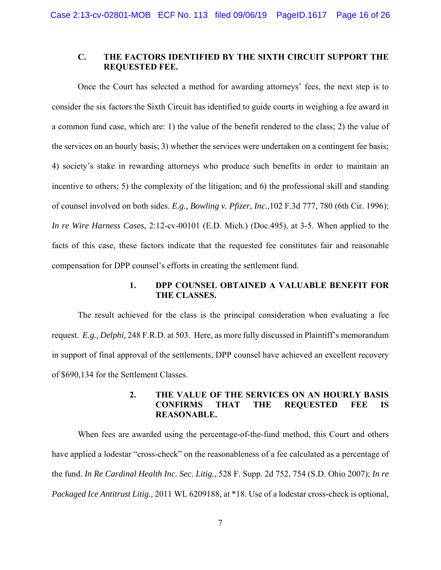## **C. THE FACTORS IDENTIFIED BY THE SIXTH CIRCUIT SUPPORT THE REQUESTED FEE.**

Once the Court has selected a method for awarding attorneys' fees, the next step is to consider the six factors the Sixth Circuit has identified to guide courts in weighing a fee award in a common fund case, which are: 1) the value of the benefit rendered to the class; 2) the value of the services on an hourly basis; 3) whether the services were undertaken on a contingent fee basis; 4) society's stake in rewarding attorneys who produce such benefits in order to maintain an incentive to others; 5) the complexity of the litigation; and 6) the professional skill and standing of counsel involved on both sides. *E.g., Bowling v. Pfizer, Inc.,*102 F.3d 777, 780 (6th Cir. 1996); *In re Wire Harness Cases*, 2:12-cv-00101 (E.D. Mich.) (Doc.495), at 3-5. When applied to the facts of this case, these factors indicate that the requested fee constitutes fair and reasonable compensation for DPP counsel's efforts in creating the settlement fund.

## **1. DPP COUNSEL OBTAINED A VALUABLE BENEFIT FOR THE CLASSES.**

 The result achieved for the class is the principal consideration when evaluating a fee request. *E.g., Delphi,* 248 F.R.D. at 503. Here, as more fully discussed in Plaintiff's memorandum in support of final approval of the settlements, DPP counsel have achieved an excellent recovery of \$690,134 for the Settlement Classes.

## **2. THE VALUE OF THE SERVICES ON AN HOURLY BASIS CONFIRMS THAT THE REQUESTED FEE IS REASONABLE.**

 When fees are awarded using the percentage-of-the-fund method, this Court and others have applied a lodestar "cross-check" on the reasonableness of a fee calculated as a percentage of the fund. *In Re Cardinal Health Inc. Sec. Litig.*, 528 F. Supp. 2d 752, 754 (S.D. Ohio 2007); *In re Packaged Ice Antitrust Litig.,* 2011 WL 6209188, at \*18. Use of a lodestar cross-check is optional,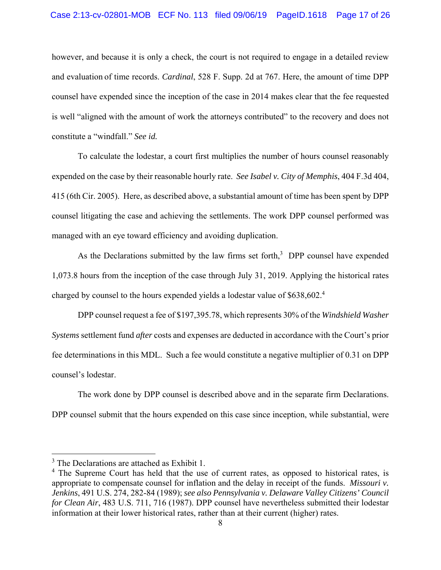however, and because it is only a check, the court is not required to engage in a detailed review and evaluation of time records. *Cardinal*, 528 F. Supp. 2d at 767. Here, the amount of time DPP counsel have expended since the inception of the case in 2014 makes clear that the fee requested is well "aligned with the amount of work the attorneys contributed" to the recovery and does not constitute a "windfall." *See id.*

 To calculate the lodestar, a court first multiplies the number of hours counsel reasonably expended on the case by their reasonable hourly rate. *See Isabel v. City of Memphis*, 404 F.3d 404, 415 (6th Cir. 2005). Here, as described above, a substantial amount of time has been spent by DPP counsel litigating the case and achieving the settlements. The work DPP counsel performed was managed with an eye toward efficiency and avoiding duplication.

As the Declarations submitted by the law firms set forth,<sup>3</sup> DPP counsel have expended 1,073.8 hours from the inception of the case through July 31, 2019. Applying the historical rates charged by counsel to the hours expended yields a lodestar value of \$638,602.<sup>4</sup>

 DPP counsel request a fee of \$197,395.78, which represents 30% of the *Windshield Washer Systems* settlement fund *after* costs and expenses are deducted in accordance with the Court's prior fee determinations in this MDL. Such a fee would constitute a negative multiplier of 0.31 on DPP counsel's lodestar.

 The work done by DPP counsel is described above and in the separate firm Declarations. DPP counsel submit that the hours expended on this case since inception, while substantial, were

 $\overline{a}$ 

<sup>&</sup>lt;sup>3</sup> The Declarations are attached as Exhibit 1.

<sup>&</sup>lt;sup>4</sup> The Supreme Court has held that the use of current rates, as opposed to historical rates, is appropriate to compensate counsel for inflation and the delay in receipt of the funds. *Missouri v. Jenkins*, 491 U.S. 274, 282-84 (1989); *see also Pennsylvania v. Delaware Valley Citizens' Council for Clean Air*, 483 U.S. 711, 716 (1987). DPP counsel have nevertheless submitted their lodestar information at their lower historical rates, rather than at their current (higher) rates.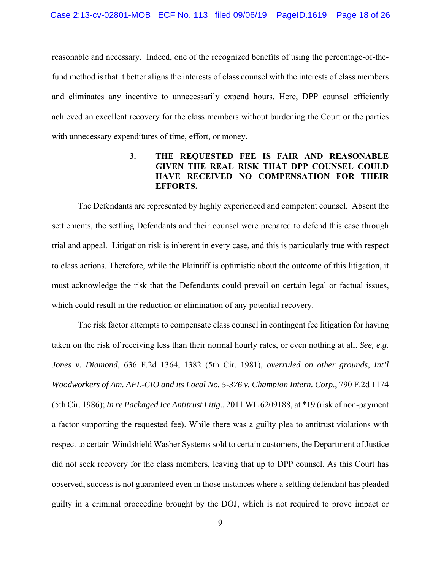reasonable and necessary. Indeed, one of the recognized benefits of using the percentage-of-thefund method is that it better aligns the interests of class counsel with the interests of class members and eliminates any incentive to unnecessarily expend hours. Here, DPP counsel efficiently achieved an excellent recovery for the class members without burdening the Court or the parties with unnecessary expenditures of time, effort, or money.

## **3. THE REQUESTED FEE IS FAIR AND REASONABLE GIVEN THE REAL RISK THAT DPP COUNSEL COULD HAVE RECEIVED NO COMPENSATION FOR THEIR EFFORTS.**

The Defendants are represented by highly experienced and competent counsel. Absent the settlements, the settling Defendants and their counsel were prepared to defend this case through trial and appeal. Litigation risk is inherent in every case, and this is particularly true with respect to class actions. Therefore, while the Plaintiff is optimistic about the outcome of this litigation, it must acknowledge the risk that the Defendants could prevail on certain legal or factual issues, which could result in the reduction or elimination of any potential recovery.

The risk factor attempts to compensate class counsel in contingent fee litigation for having taken on the risk of receiving less than their normal hourly rates, or even nothing at all. *See, e.g. Jones v. Diamond*, 636 F.2d 1364, 1382 (5th Cir. 1981), *overruled on other grounds*, *Int'l Woodworkers of Am. AFL-CIO and its Local No. 5-376 v. Champion Intern. Corp*., 790 F.2d 1174 (5th Cir. 1986); *In re Packaged Ice Antitrust Litig.,* 2011 WL 6209188, at \*19 (risk of non-payment a factor supporting the requested fee). While there was a guilty plea to antitrust violations with respect to certain Windshield Washer Systems sold to certain customers, the Department of Justice did not seek recovery for the class members, leaving that up to DPP counsel. As this Court has observed, success is not guaranteed even in those instances where a settling defendant has pleaded guilty in a criminal proceeding brought by the DOJ, which is not required to prove impact or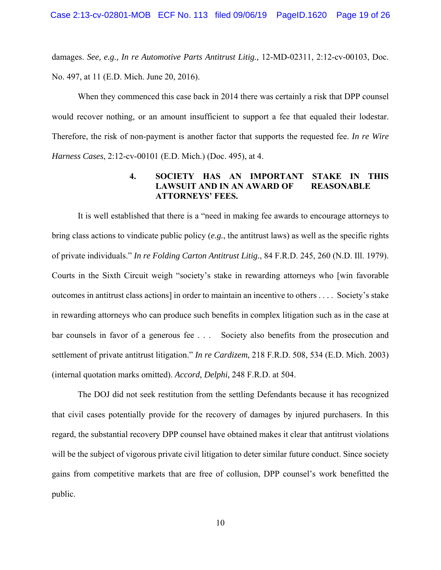damages. *See, e.g., In re Automotive Parts Antitrust Litig.,* 12-MD-02311, 2:12-cv-00103, Doc. No. 497, at 11 (E.D. Mich. June 20, 2016).

When they commenced this case back in 2014 there was certainly a risk that DPP counsel would recover nothing, or an amount insufficient to support a fee that equaled their lodestar. Therefore, the risk of non-payment is another factor that supports the requested fee. *In re Wire Harness Cases*, 2:12-cv-00101 (E.D. Mich.) (Doc. 495), at 4.

## **4. SOCIETY HAS AN IMPORTANT STAKE IN THIS LAWSUIT AND IN AN AWARD OF REASONABLE ATTORNEYS' FEES.**

It is well established that there is a "need in making fee awards to encourage attorneys to bring class actions to vindicate public policy (*e.g.*, the antitrust laws) as well as the specific rights of private individuals." *In re Folding Carton Antitrust Litig.*, 84 F.R.D. 245, 260 (N.D. Ill. 1979). Courts in the Sixth Circuit weigh "society's stake in rewarding attorneys who [win favorable outcomes in antitrust class actions] in order to maintain an incentive to others . . . . Society's stake in rewarding attorneys who can produce such benefits in complex litigation such as in the case at bar counsels in favor of a generous fee . . . Society also benefits from the prosecution and settlement of private antitrust litigation." *In re Cardizem*, 218 F.R.D. 508, 534 (E.D. Mich. 2003) (internal quotation marks omitted). *Accord, Delphi,* 248 F.R.D. at 504.

The DOJ did not seek restitution from the settling Defendants because it has recognized that civil cases potentially provide for the recovery of damages by injured purchasers. In this regard, the substantial recovery DPP counsel have obtained makes it clear that antitrust violations will be the subject of vigorous private civil litigation to deter similar future conduct. Since society gains from competitive markets that are free of collusion, DPP counsel's work benefitted the public.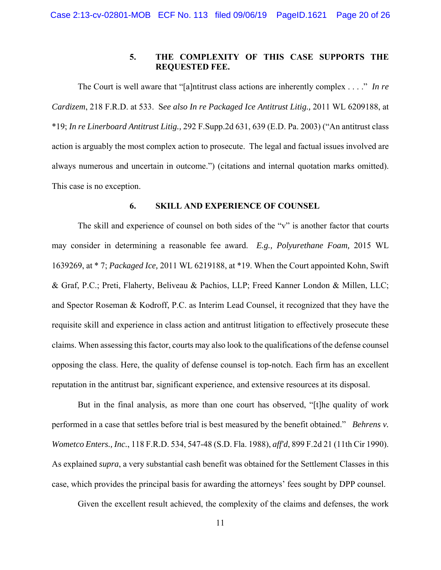## **5. THE COMPLEXITY OF THIS CASE SUPPORTS THE REQUESTED FEE.**

The Court is well aware that "[a]ntitrust class actions are inherently complex . . . ." *In re Cardizem*, 218 F.R.D. at 533. S*ee also In re Packaged Ice Antitrust Litig.,* 2011 WL 6209188, at \*19; *In re Linerboard Antitrust Litig.,* 292 F.Supp.2d 631, 639 (E.D. Pa. 2003) ("An antitrust class action is arguably the most complex action to prosecute. The legal and factual issues involved are always numerous and uncertain in outcome.") (citations and internal quotation marks omitted). This case is no exception.

#### **6. SKILL AND EXPERIENCE OF COUNSEL**

The skill and experience of counsel on both sides of the "v" is another factor that courts may consider in determining a reasonable fee award. *E.g., Polyurethane Foam,* 2015 WL 1639269, at \* 7; *Packaged Ice,* 2011 WL 6219188, at \*19. When the Court appointed Kohn, Swift & Graf, P.C.; Preti, Flaherty, Beliveau & Pachios, LLP; Freed Kanner London & Millen, LLC; and Spector Roseman & Kodroff, P.C. as Interim Lead Counsel, it recognized that they have the requisite skill and experience in class action and antitrust litigation to effectively prosecute these claims. When assessing this factor, courts may also look to the qualifications of the defense counsel opposing the class. Here, the quality of defense counsel is top-notch. Each firm has an excellent reputation in the antitrust bar, significant experience, and extensive resources at its disposal.

But in the final analysis, as more than one court has observed, "[t]he quality of work performed in a case that settles before trial is best measured by the benefit obtained." *Behrens v. Wometco Enters., Inc.*, 118 F.R.D. 534, 547-48 (S.D. Fla. 1988), *aff'd*, 899 F.2d 21 (11th Cir 1990). As explained *supra*, a very substantial cash benefit was obtained for the Settlement Classes in this case, which provides the principal basis for awarding the attorneys' fees sought by DPP counsel.

Given the excellent result achieved, the complexity of the claims and defenses, the work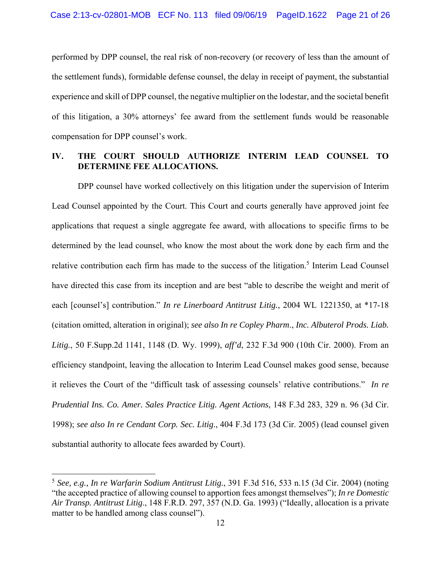performed by DPP counsel, the real risk of non-recovery (or recovery of less than the amount of the settlement funds), formidable defense counsel, the delay in receipt of payment, the substantial experience and skill of DPP counsel, the negative multiplier on the lodestar, and the societal benefit of this litigation, a 30% attorneys' fee award from the settlement funds would be reasonable compensation for DPP counsel's work.

## **IV. THE COURT SHOULD AUTHORIZE INTERIM LEAD COUNSEL TO DETERMINE FEE ALLOCATIONS.**

 DPP counsel have worked collectively on this litigation under the supervision of Interim Lead Counsel appointed by the Court. This Court and courts generally have approved joint fee applications that request a single aggregate fee award, with allocations to specific firms to be determined by the lead counsel, who know the most about the work done by each firm and the relative contribution each firm has made to the success of the litigation.<sup>5</sup> Interim Lead Counsel have directed this case from its inception and are best "able to describe the weight and merit of each [counsel's] contribution." *In re Linerboard Antitrust Litig.*, 2004 WL 1221350, at \*17-18 (citation omitted, alteration in original); *see also In re Copley Pharm*., *Inc. Albuterol Prods. Liab. Litig.*, 50 F.Supp.2d 1141, 1148 (D. Wy. 1999), *aff'd*, 232 F.3d 900 (10th Cir. 2000). From an efficiency standpoint, leaving the allocation to Interim Lead Counsel makes good sense, because it relieves the Court of the "difficult task of assessing counsels' relative contributions." *In re Prudential Ins. Co. Amer. Sales Practice Litig. Agent Actions*, 148 F.3d 283, 329 n. 96 (3d Cir. 1998); *see also In re Cendant Corp. Sec. Litig*., 404 F.3d 173 (3d Cir. 2005) (lead counsel given substantial authority to allocate fees awarded by Court).

1

<sup>5</sup> *See, e.g., In re Warfarin Sodium Antitrust Litig.*, 391 F.3d 516, 533 n.15 (3d Cir. 2004) (noting "the accepted practice of allowing counsel to apportion fees amongst themselves"); *In re Domestic Air Transp. Antitrust Litig*., 148 F.R.D. 297, 357 (N.D. Ga. 1993) ("Ideally, allocation is a private matter to be handled among class counsel").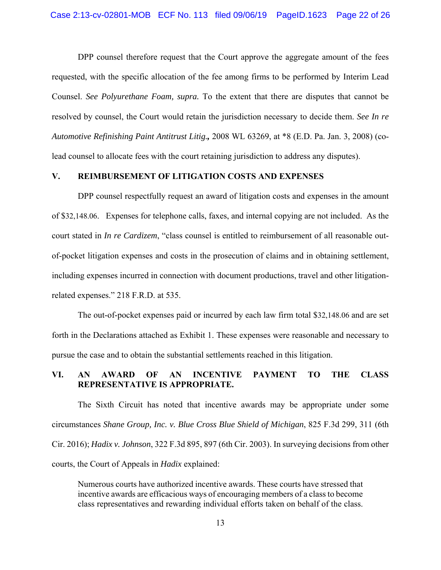DPP counsel therefore request that the Court approve the aggregate amount of the fees requested, with the specific allocation of the fee among firms to be performed by Interim Lead Counsel. *See Polyurethane Foam, supra.* To the extent that there are disputes that cannot be resolved by counsel, the Court would retain the jurisdiction necessary to decide them. *See In re Automotive Refinishing Paint Antitrust Litig.,* 2008 WL 63269, at \*8 (E.D. Pa. Jan. 3, 2008) (colead counsel to allocate fees with the court retaining jurisdiction to address any disputes).

#### **V. REIMBURSEMENT OF LITIGATION COSTS AND EXPENSES**

 DPP counsel respectfully request an award of litigation costs and expenses in the amount of \$32,148.06. Expenses for telephone calls, faxes, and internal copying are not included. As the court stated in *In re Cardizem*, "class counsel is entitled to reimbursement of all reasonable outof-pocket litigation expenses and costs in the prosecution of claims and in obtaining settlement, including expenses incurred in connection with document productions, travel and other litigationrelated expenses." 218 F.R.D. at 535.

 The out-of-pocket expenses paid or incurred by each law firm total \$32,148.06 and are set forth in the Declarations attached as Exhibit 1. These expenses were reasonable and necessary to pursue the case and to obtain the substantial settlements reached in this litigation.

## **VI. AN AWARD OF AN INCENTIVE PAYMENT TO THE CLASS REPRESENTATIVE IS APPROPRIATE.**

The Sixth Circuit has noted that incentive awards may be appropriate under some circumstances *Shane Group, Inc. v. Blue Cross Blue Shield of Michigan*, 825 F.3d 299, 311 (6th Cir. 2016); *Hadix v. Johnson*, 322 F.3d 895, 897 (6th Cir. 2003). In surveying decisions from other courts, the Court of Appeals in *Hadix* explained:

Numerous courts have authorized incentive awards. These courts have stressed that incentive awards are efficacious ways of encouraging members of a class to become class representatives and rewarding individual efforts taken on behalf of the class.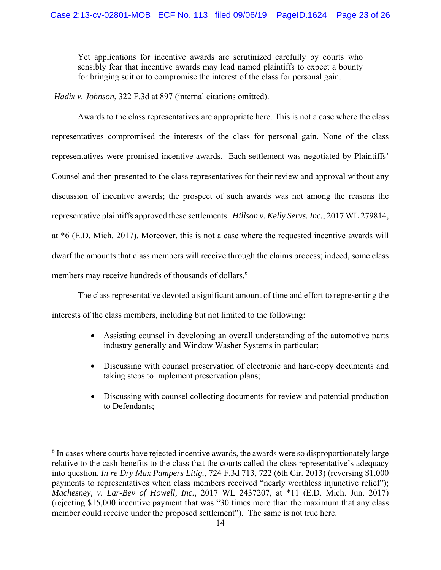Yet applications for incentive awards are scrutinized carefully by courts who sensibly fear that incentive awards may lead named plaintiffs to expect a bounty for bringing suit or to compromise the interest of the class for personal gain.

*Hadix v. Johnson*, 322 F.3d at 897 (internal citations omitted).

 Awards to the class representatives are appropriate here. This is not a case where the class representatives compromised the interests of the class for personal gain. None of the class representatives were promised incentive awards. Each settlement was negotiated by Plaintiffs' Counsel and then presented to the class representatives for their review and approval without any discussion of incentive awards; the prospect of such awards was not among the reasons the representative plaintiffs approved these settlements. *Hillson v. Kelly Servs. Inc.*, 2017 WL 279814, at \*6 (E.D. Mich. 2017). Moreover, this is not a case where the requested incentive awards will dwarf the amounts that class members will receive through the claims process; indeed, some class members may receive hundreds of thousands of dollars.<sup>6</sup>

 The class representative devoted a significant amount of time and effort to representing the interests of the class members, including but not limited to the following:

- Assisting counsel in developing an overall understanding of the automotive parts industry generally and Window Washer Systems in particular;
- Discussing with counsel preservation of electronic and hard-copy documents and taking steps to implement preservation plans;
- Discussing with counsel collecting documents for review and potential production to Defendants;

 $\overline{a}$ 

 $6$  In cases where courts have rejected incentive awards, the awards were so disproportionately large relative to the cash benefits to the class that the courts called the class representative's adequacy into question. *In re Dry Max Pampers Litig.*, 724 F.3d 713, 722 (6th Cir. 2013) (reversing \$1,000 payments to representatives when class members received "nearly worthless injunctive relief"); *Machesney, v. Lar-Bev of Howell, Inc.*, 2017 WL 2437207, at \*11 (E.D. Mich. Jun. 2017) (rejecting \$15,000 incentive payment that was "30 times more than the maximum that any class member could receive under the proposed settlement"). The same is not true here.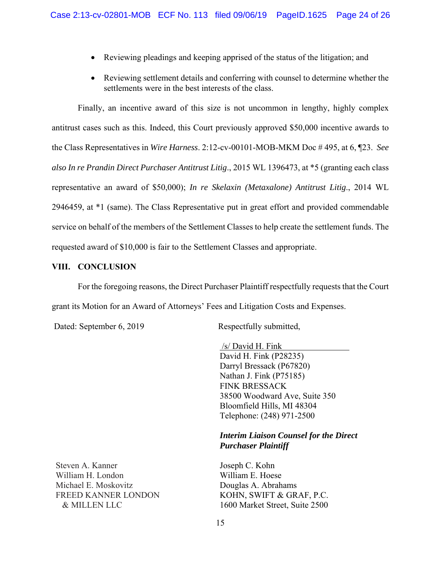- Reviewing pleadings and keeping apprised of the status of the litigation; and
- Reviewing settlement details and conferring with counsel to determine whether the settlements were in the best interests of the class.

 Finally, an incentive award of this size is not uncommon in lengthy, highly complex antitrust cases such as this. Indeed, this Court previously approved \$50,000 incentive awards to the Class Representatives in *Wire Harness*. 2:12-cv-00101-MOB-MKM Doc # 495, at 6, ¶23. *See also In re Prandin Direct Purchaser Antitrust Litig*., 2015 WL 1396473, at \*5 (granting each class representative an award of \$50,000); *In re Skelaxin (Metaxalone) Antitrust Litig*., 2014 WL 2946459, at \*1 (same). The Class Representative put in great effort and provided commendable service on behalf of the members of the Settlement Classes to help create the settlement funds. The requested award of \$10,000 is fair to the Settlement Classes and appropriate.

## **VIII. CONCLUSION**

 For the foregoing reasons, the Direct Purchaser Plaintiff respectfully requests that the Court grant its Motion for an Award of Attorneys' Fees and Litigation Costs and Expenses.

Dated: September 6, 2019 Respectfully submitted,

 /s/ David H. Fink David H. Fink (P28235) Darryl Bressack (P67820) Nathan J. Fink (P75185) FINK BRESSACK 38500 Woodward Ave, Suite 350 Bloomfield Hills, MI 48304 Telephone: (248) 971-2500

## *Interim Liaison Counsel for the Direct Purchaser Plaintiff*

Joseph C. Kohn William E. Hoese Douglas A. Abrahams KOHN, SWIFT & GRAF, P.C. 1600 Market Street, Suite 2500

Steven A. Kanner William H. London Michael E. Moskovitz FREED KANNER LONDON & MILLEN LLC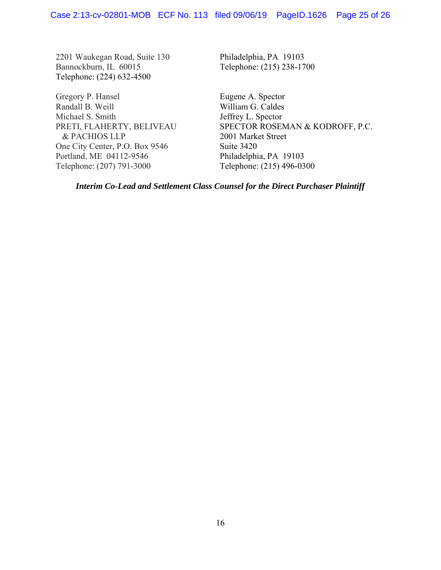2201 Waukegan Road, Suite 130 Bannockburn, IL 60015 Telephone: (224) 632-4500

Gregory P. Hansel Randall B. Weill Michael S. Smith PRETI, FLAHERTY, BELIVEAU & PACHIOS LLP One City Center, P.O. Box 9546 Portland, ME 04112-9546 Telephone: (207) 791-3000

Philadelphia, PA 19103 Telephone: (215) 238-1700

Eugene A. Spector William G. Caldes Jeffrey L. Spector SPECTOR ROSEMAN & KODROFF, P.C. 2001 Market Street Suite 3420 Philadelphia, PA 19103 Telephone: (215) 496-0300

*Interim Co-Lead and Settlement Class Counsel for the Direct Purchaser Plaintiff*